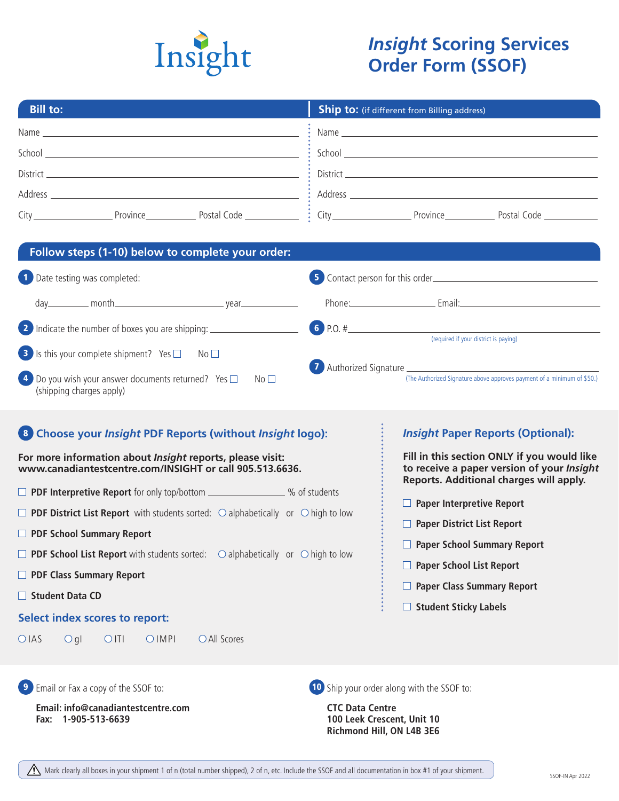

# *Insight* **Scoring Services Order Form (SSOF)**

| <b>Bill to:</b>                                                                                                                                                                                                                                                                                  | <b>Ship to:</b> (if different from Billing address)                                                                                                                                                                            |
|--------------------------------------------------------------------------------------------------------------------------------------------------------------------------------------------------------------------------------------------------------------------------------------------------|--------------------------------------------------------------------------------------------------------------------------------------------------------------------------------------------------------------------------------|
|                                                                                                                                                                                                                                                                                                  |                                                                                                                                                                                                                                |
|                                                                                                                                                                                                                                                                                                  |                                                                                                                                                                                                                                |
|                                                                                                                                                                                                                                                                                                  |                                                                                                                                                                                                                                |
|                                                                                                                                                                                                                                                                                                  |                                                                                                                                                                                                                                |
|                                                                                                                                                                                                                                                                                                  |                                                                                                                                                                                                                                |
| Follow steps (1-10) below to complete your order:                                                                                                                                                                                                                                                |                                                                                                                                                                                                                                |
| 1 Date testing was completed:                                                                                                                                                                                                                                                                    |                                                                                                                                                                                                                                |
|                                                                                                                                                                                                                                                                                                  | Phone: Email: Email: Email: Email: Email: Email: Email: Email: Email: Email: Email: Email: Email: Email: Email: Email: Email: Email: Email: Email: Email: Email: Email: Email: Email: Email: Email: Email: Email: Email: Email |
| 2 Indicate the number of boxes you are shipping: _______________________________                                                                                                                                                                                                                 | 6 P.O. #<br>(required if your district is paying)                                                                                                                                                                              |
| 4 Do you wish your answer documents returned? Yes $\square$<br>No <sub>1</sub><br>(shipping charges apply)<br>8 Choose your Insight PDF Reports (without Insight logo):<br>For more information about Insight reports, please visit:<br>www.canadiantestcentre.com/INSIGHT or call 905.513.6636. | (The Authorized Signature above approves payment of a minimum of \$50.)<br><b>Insight Paper Reports (Optional):</b><br>Fill in this section ONLY if you would like<br>to receive a paper version of your Insight               |
| □ PDF Interpretive Report for only top/bottom _______________% of students                                                                                                                                                                                                                       | Reports. Additional charges will apply.                                                                                                                                                                                        |
| $\Box$ PDF District List Report with students sorted: $\bigcirc$ alphabetically or $\bigcirc$ high to low                                                                                                                                                                                        | □ Paper Interpretive Report                                                                                                                                                                                                    |
| <b>PDF School Summary Report</b>                                                                                                                                                                                                                                                                 | $\Box$ Paper District List Report                                                                                                                                                                                              |
| $\Box$ PDF School List Report with students sorted: $\bigcirc$ alphabetically or $\bigcirc$ high to low                                                                                                                                                                                          | $\Box$ Paper School Summary Report                                                                                                                                                                                             |
| <b>D</b> PDF Class Summary Report                                                                                                                                                                                                                                                                | Paper School List Report                                                                                                                                                                                                       |
| $\Box$ Student Data CD                                                                                                                                                                                                                                                                           | $\Box$ Paper Class Summary Report                                                                                                                                                                                              |
| <b>Select index scores to report:</b>                                                                                                                                                                                                                                                            | $\Box$ Student Sticky Labels                                                                                                                                                                                                   |
| $O$ gl<br>O <sub>II</sub><br>OIMPI<br>○ All Scores<br>OIAS                                                                                                                                                                                                                                       |                                                                                                                                                                                                                                |
| <b>9</b> Email or Fax a copy of the SSOF to:<br>Email: info@canadiantestcentre.com                                                                                                                                                                                                               | 10 Ship your order along with the SSOF to:<br><b>CTC Data Centre</b>                                                                                                                                                           |
| 1-905-513-6639<br>Fax:                                                                                                                                                                                                                                                                           | 100 Leek Crescent, Unit 10<br>Richmond Hill, ON L4B 3E6                                                                                                                                                                        |